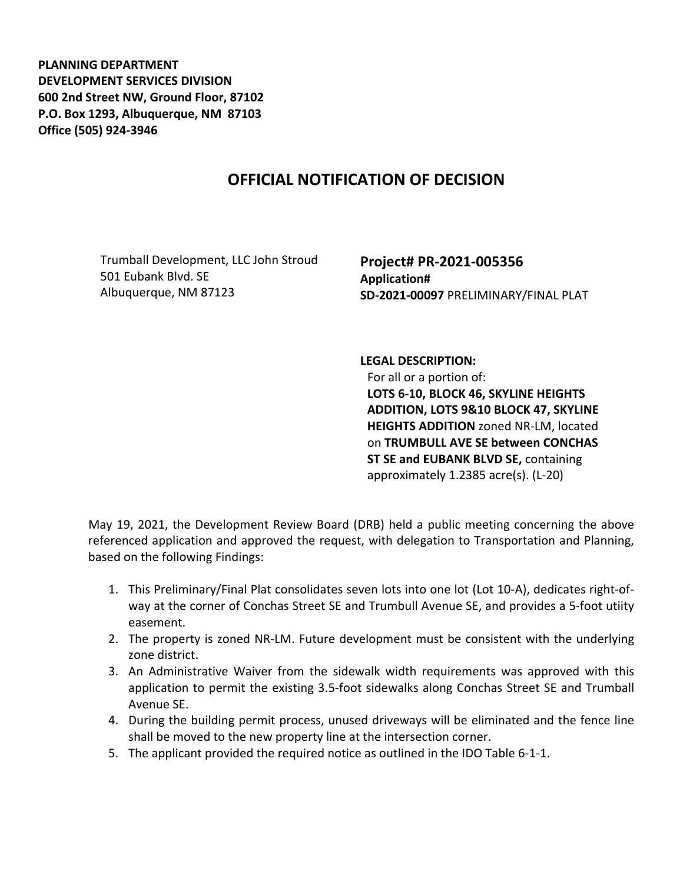**PLANNING DEPARTMENT DEVELOPMENT SERVICES DIVISION 600 2nd Street NW, Ground Floor, 87102 P.O. Box 1293, Albuquerque, NM 87103 Office (505) 924-3946** 

## **OFFICIAL NOTIFICATION OF DECISION**

Trumball Development, LLC John Stroud 501 Eubank Blvd. SE Albuquerque, NM 87123

**Project# PR-2021-005356 Application# SD-2021-00097** PRELIMINARY/FINAL PLAT

## **LEGAL DESCRIPTION:**

For all or a portion of: **LOTS 6-10, BLOCK 46, SKYLINE HEIGHTS ADDITION, LOTS 9&10 BLOCK 47, SKYLINE HEIGHTS ADDITION** zoned NR-LM, located on **TRUMBULL AVE SE between CONCHAS ST SE and EUBANK BLVD SE,** containing approximately 1.2385 acre(s). (L-20)

May 19, 2021, the Development Review Board (DRB) held a public meeting concerning the above referenced application and approved the request, with delegation to Transportation and Planning, based on the following Findings:

- 1. This Preliminary/Final Plat consolidates seven lots into one lot (Lot 10-A), dedicates right-ofway at the corner of Conchas Street SE and Trumbull Avenue SE, and provides a 5-foot utiity easement.
- 2. The property is zoned NR-LM. Future development must be consistent with the underlying zone district.
- 3. An Administrative Waiver from the sidewalk width requirements was approved with this application to permit the existing 3.5-foot sidewalks along Conchas Street SE and Trumball Avenue SE.
- 4. During the building permit process, unused driveways will be eliminated and the fence line shall be moved to the new property line at the intersection corner.
- 5. The applicant provided the required notice as outlined in the IDO Table 6-1-1.